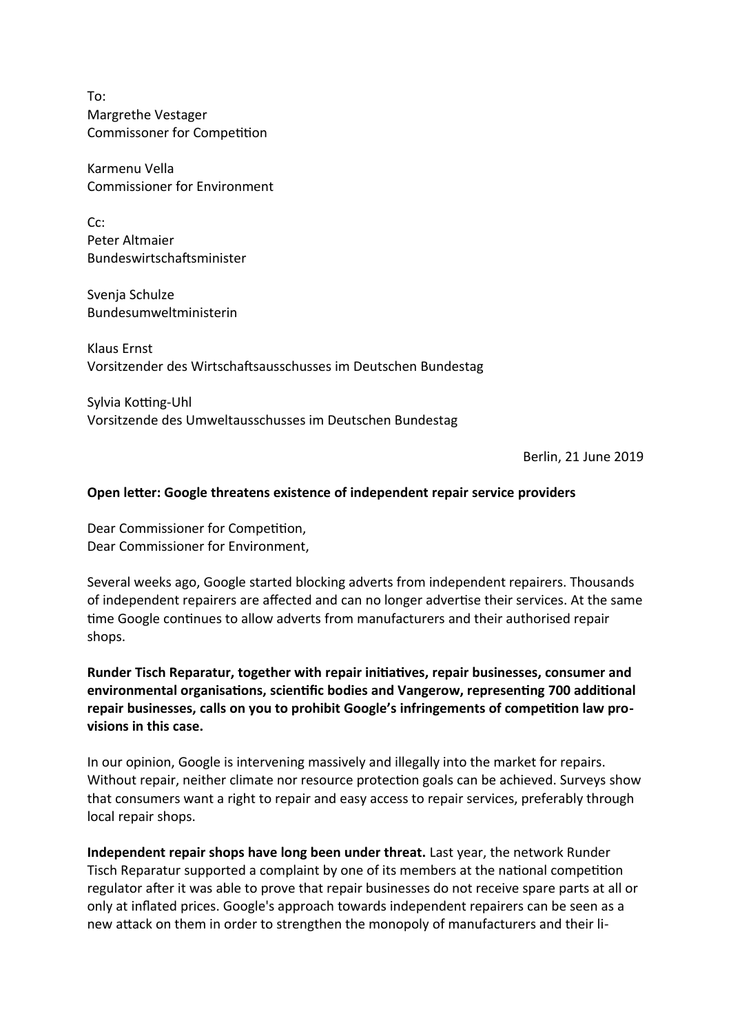To: Margrethe Vestager Commissoner for Competition

Karmenu Vella Commissioner for Environment

Cc: Peter Altmaier Bundeswirtschaftsminister

Svenja Schulze Bundesumweltministerin

Klaus Ernst Vorsitzender des Wirtschaftsausschusses im Deutschen Bundestag

Sylvia Kotting-Uhl Vorsitzende des Umweltausschusses im Deutschen Bundestag

Berlin, 21 June 2019

## **Open letter: Google threatens existence of independent repair service providers**

Dear Commissioner for Competition, Dear Commissioner for Environment,

Several weeks ago, Google started blocking adverts from independent repairers. Thousands of independent repairers are affected and can no longer advertise their services. At the same time Google continues to allow adverts from manufacturers and their authorised repair shops.

**Runder Tisch Reparatur, together with repair initiatives, repair businesses, consumer and environmental organisations, scientific bodies and Vangerow, representing 700 additional repair businesses, calls on you to prohibit Google's infringements of competition law provisions in this case.**

In our opinion, Google is intervening massively and illegally into the market for repairs. Without repair, neither climate nor resource protection goals can be achieved. Surveys show that consumers want a right to repair and easy access to repair services, preferably through local repair shops.

**Independent repair shops have long been under threat.** Last year, the network Runder Tisch Reparatur supported a complaint by one of its members at the national competition regulator after it was able to prove that repair businesses do not receive spare parts at all or only at inflated prices. Google's approach towards independent repairers can be seen as a new attack on them in order to strengthen the monopoly of manufacturers and their li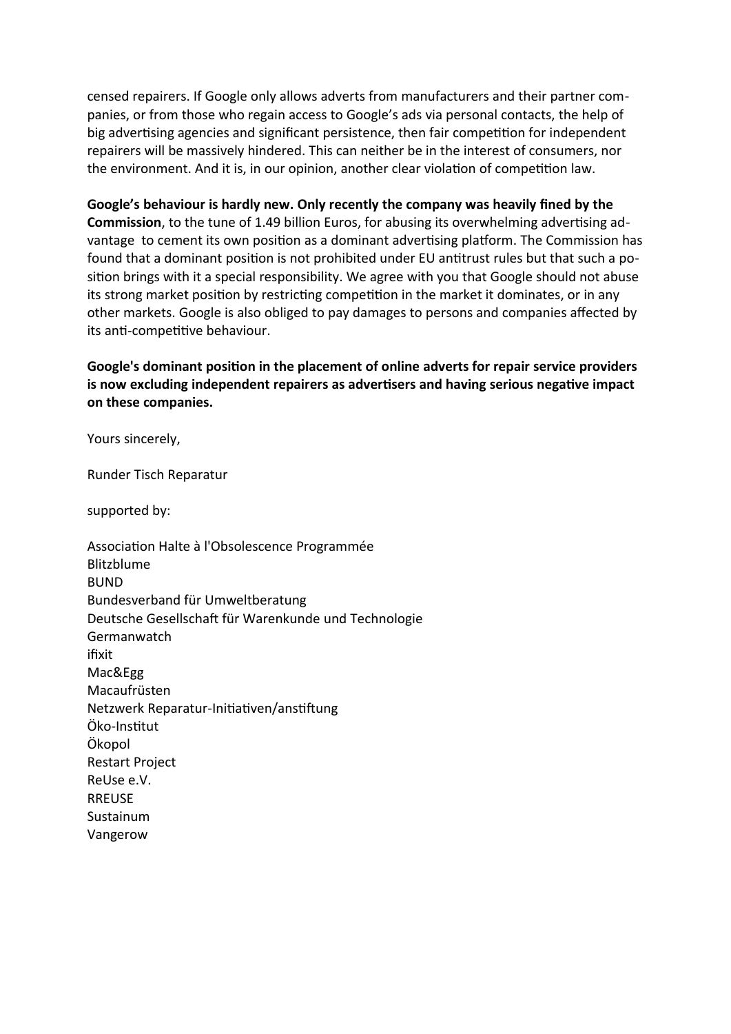censed repairers. If Google only allows adverts from manufacturers and their partner companies, or from those who regain access to Google's ads via personal contacts, the help of big advertising agencies and significant persistence, then fair competition for independent repairers will be massively hindered. This can neither be in the interest of consumers, nor the environment. And it is, in our opinion, another clear violation of competition law.

**Google's behaviour is hardly new. Only recently the company was heavily fined by the Commission**, to the tune of 1.49 billion Euros, for abusing its overwhelming advertising advantage to cement its own position as a dominant advertising platform. The Commission has found that a dominant position is not prohibited under EU antitrust rules but that such a position brings with it a special responsibility. We agree with you that Google should not abuse its strong market position by restricting competition in the market it dominates, or in any other markets. Google is also obliged to pay damages to persons and companies affected by its anti-competitive behaviour.

**Google's dominant position in the placement of online adverts for repair service providers is now excluding independent repairers as advertisers and having serious negative impact on these companies.** 

Yours sincerely,

Runder Tisch Reparatur

supported by:

Association Halte à l'Obsolescence Programmée Blitzblume BUND Bundesverband für Umweltberatung Deutsche Gesellschaft für Warenkunde und Technologie Germanwatch ifixit Mac&Egg Macaufrüsten Netzwerk Reparatur-Initiativen/anstiftung Öko-Institut Ökopol Restart Project ReUse e.V. RREUSE Sustainum Vangerow